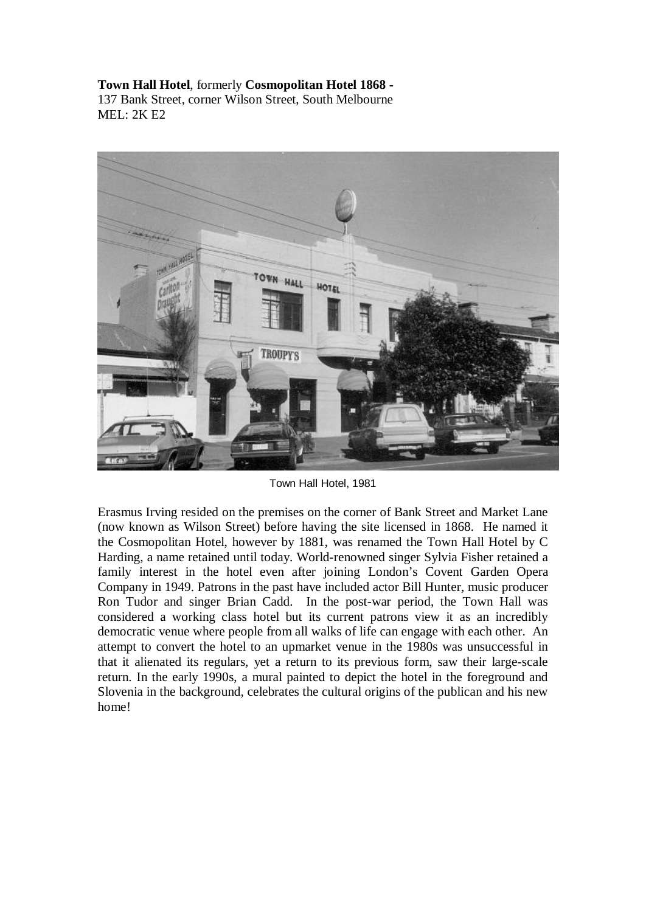**Town Hall Hotel**, formerly **Cosmopolitan Hotel 1868 -**  137 Bank Street, corner Wilson Street, South Melbourne MEL: 2K E2



Town Hall Hotel, 1981

Erasmus Irving resided on the premises on the corner of Bank Street and Market Lane (now known as Wilson Street) before having the site licensed in 1868. He named it the Cosmopolitan Hotel, however by 1881, was renamed the Town Hall Hotel by C Harding, a name retained until today. World-renowned singer Sylvia Fisher retained a family interest in the hotel even after joining London's Covent Garden Opera Company in 1949. Patrons in the past have included actor Bill Hunter, music producer Ron Tudor and singer Brian Cadd. In the post-war period, the Town Hall was considered a working class hotel but its current patrons view it as an incredibly democratic venue where people from all walks of life can engage with each other. An attempt to convert the hotel to an upmarket venue in the 1980s was unsuccessful in that it alienated its regulars, yet a return to its previous form, saw their large-scale return. In the early 1990s, a mural painted to depict the hotel in the foreground and Slovenia in the background, celebrates the cultural origins of the publican and his new home!